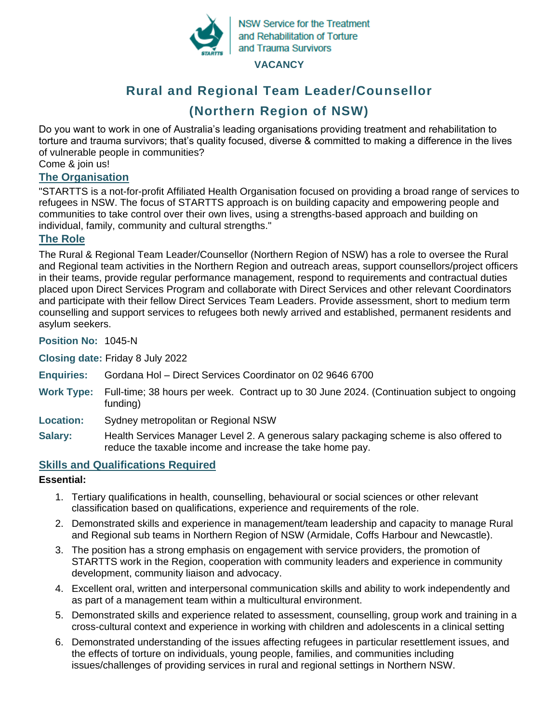

**NSW Service for the Treatment** and Rehabilitation of Torture and Trauma Survivors

#### **VACANCY**

# **Rural and Regional Team Leader/Counsellor (Northern Region of NSW)**

Do you want to work in one of Australia's leading organisations providing treatment and rehabilitation to torture and trauma survivors; that's quality focused, diverse & committed to making a difference in the lives of vulnerable people in communities?

Come & join us!

## **The Organisation**

"STARTTS is a not-for-profit Affiliated Health Organisation focused on providing a broad range of services to refugees in NSW. The focus of STARTTS approach is on building capacity and empowering people and communities to take control over their own lives, using a strengths-based approach and building on individual, family, community and cultural strengths."

## **The Role**

The Rural & Regional Team Leader/Counsellor (Northern Region of NSW) has a role to oversee the Rural and Regional team activities in the Northern Region and outreach areas, support counsellors/project officers in their teams, provide regular performance management, respond to requirements and contractual duties placed upon Direct Services Program and collaborate with Direct Services and other relevant Coordinators and participate with their fellow Direct Services Team Leaders. Provide assessment, short to medium term counselling and support services to refugees both newly arrived and established, permanent residents and asylum seekers.

**Position No:** 1045-N

**Closing date:** Friday 8 July 2022

- **Enquiries:** Gordana Hol Direct Services Coordinator on 02 9646 6700
- **Work Type:** Full-time; 38 hours per week. Contract up to 30 June 2024. (Continuation subject to ongoing funding)
- **Location:** Sydney metropolitan or Regional NSW
- **Salary:** Health Services Manager Level 2. A generous salary packaging scheme is also offered to reduce the taxable income and increase the take home pay.

## **Skills and Qualifications Required**

## **Essential:**

- 1. Tertiary qualifications in health, counselling, behavioural or social sciences or other relevant classification based on qualifications, experience and requirements of the role.
- 2. Demonstrated skills and experience in management/team leadership and capacity to manage Rural and Regional sub teams in Northern Region of NSW (Armidale, Coffs Harbour and Newcastle).
- 3. The position has a strong emphasis on engagement with service providers, the promotion of STARTTS work in the Region, cooperation with community leaders and experience in community development, community liaison and advocacy.
- 4. Excellent oral, written and interpersonal communication skills and ability to work independently and as part of a management team within a multicultural environment.
- 5. Demonstrated skills and experience related to assessment, counselling, group work and training in a cross-cultural context and experience in working with children and adolescents in a clinical setting
- 6. Demonstrated understanding of the issues affecting refugees in particular resettlement issues, and the effects of torture on individuals, young people, families, and communities including issues/challenges of providing services in rural and regional settings in Northern NSW.